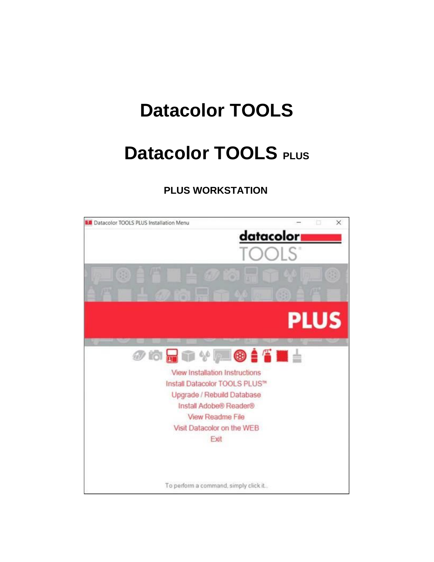# **Datacolor TOOLS**

# **Datacolor TOOLS PLUS**

## **PLUS WORKSTATION**

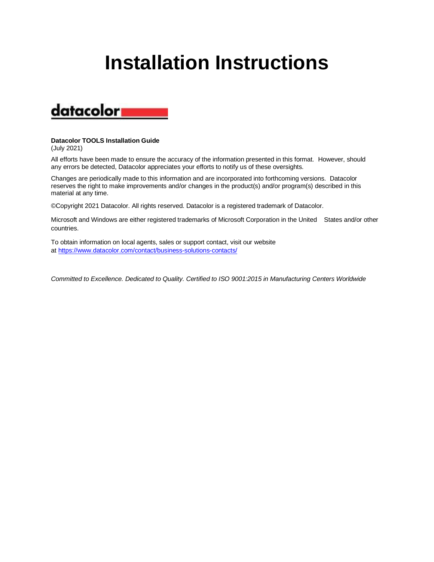# **Installation Instructions**



#### **Datacolor TOOLS Installation Guide** (July 2021)

All efforts have been made to ensure the accuracy of the information presented in this format. However, should any errors be detected, Datacolor appreciates your efforts to notify us of these oversights.

Changes are periodically made to this information and are incorporated into forthcoming versions. Datacolor reserves the right to make improvements and/or changes in the product(s) and/or program(s) described in this material at any time.

©Copyright 2021 Datacolor. All rights reserved. Datacolor is a registered trademark of Datacolor.

Microsoft and Windows are either registered trademarks of Microsoft Corporation in the United States and/or other countries.

To obtain information on local agents, sales or support contact, visit our website at <https://www.datacolor.com/contact/business-solutions-contacts/>

*Committed to Excellence. Dedicated to Quality. Certified to ISO 9001:2015 in Manufacturing Centers Worldwide*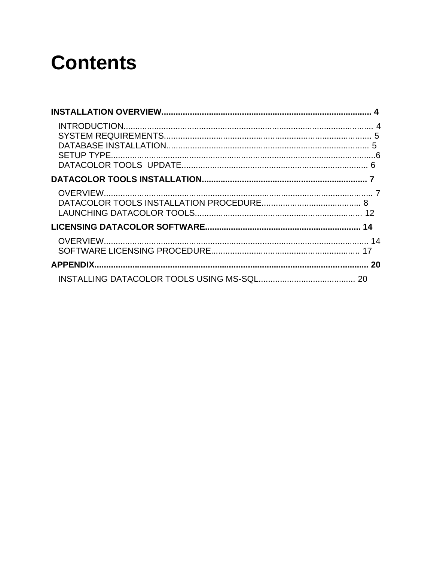# **Contents**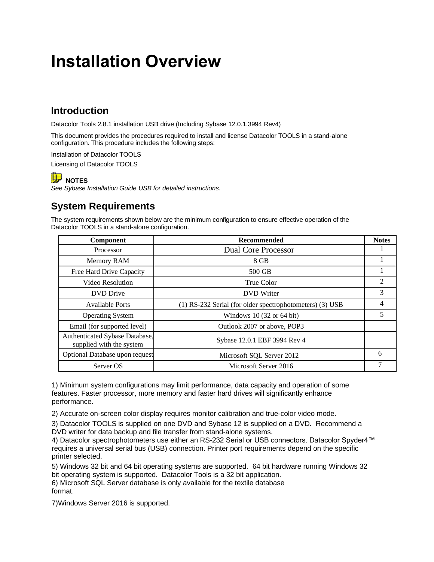## **Installation Overview**

## **Introduction**

Datacolor Tools 2.8.1 installation USB drive (Including Sybase 12.0.1.3994 Rev4)

This document provides the procedures required to install and license Datacolor TOOLS in a stand-alone configuration. This procedure includes the following steps:

Installation of Datacolor TOOLS

Licensing of Datacolor TOOLS

### **NOTES**

*See Sybase Installation Guide USB for detailed instructions.*

## **System Requirements**

The system requirements shown below are the minimum configuration to ensure effective operation of the Datacolor TOOLS in a stand-alone configuration.

| Component                                                  | Recommended                                              | <b>Notes</b> |
|------------------------------------------------------------|----------------------------------------------------------|--------------|
| Processor                                                  | <b>Dual Core Processor</b>                               |              |
| Memory RAM                                                 | 8 GB                                                     |              |
| Free Hard Drive Capacity                                   | 500 GB                                                   |              |
| Video Resolution                                           | True Color                                               | 2            |
| <b>DVD</b> Drive                                           | <b>DVD</b> Writer                                        | 3            |
| <b>Available Ports</b>                                     | (1) RS-232 Serial (for older spectrophotometers) (3) USB | 4            |
| <b>Operating System</b>                                    | Windows $10(32 \text{ or } 64 \text{ bit})$              | 5            |
| Email (for supported level)                                | Outlook 2007 or above, POP3                              |              |
| Authenticated Sybase Database,<br>supplied with the system | Sybase 12.0.1 EBF 3994 Rev 4                             |              |
| Optional Database upon request                             | Microsoft SQL Server 2012                                | 6            |
| Server OS                                                  | Microsoft Server 2016                                    |              |

1) Minimum system configurations may limit performance, data capacity and operation of some features. Faster processor, more memory and faster hard drives will significantly enhance performance.

2) Accurate on-screen color display requires monitor calibration and true-color video mode.

3) Datacolor TOOLS is supplied on one DVD and Sybase 12 is supplied on a DVD. Recommend a DVD writer for data backup and file transfer from stand-alone systems.

4) Datacolor spectrophotometers use either an RS-232 Serial or USB connectors. Datacolor Spyder4™ requires a universal serial bus (USB) connection. Printer port requirements depend on the specific printer selected.

5) Windows 32 bit and 64 bit operating systems are supported. 64 bit hardware running Windows 32 bit operating system is supported. Datacolor Tools is a 32 bit application.

6) Microsoft SQL Server database is only available for the textile database format.

7)Windows Server 2016 is supported.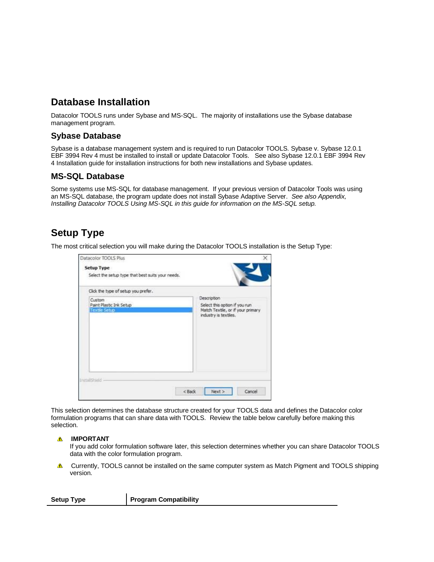## **Database Installation**

Datacolor TOOLS runs under Sybase and MS-SQL. The majority of installations use the Sybase database management program.

#### **Sybase Database**

Sybase is a database management system and is required to run Datacolor TOOLS. Sybase v. Sybase 12.0.1 EBF 3994 Rev 4 must be installed to install or update Datacolor Tools. See also Sybase 12.0.1 EBF 3994 Rev 4 Installation guide for installation instructions for both new installations and Sybase updates.

#### **MS-SQL Database**

Some systems use MS-SQL for database management. If your previous version of Datacolor Tools was using an MS-SQL database, the program update does not install Sybase Adaptive Server. *See also Appendix, Installing Datacolor TOOLS Using MS-SQL in this guide for information on the MS-SQL setup.*

### **Setup Type**

The most critical selection you will make during the Datacolor TOOLS installation is the Setup Type:

| Datacolor TOOLS Plus<br><b>Setup Type</b><br>Select the setup type that best suits your needs. |                                                                                                           |
|------------------------------------------------------------------------------------------------|-----------------------------------------------------------------------------------------------------------|
| Click the type of setup you prefer.                                                            |                                                                                                           |
| Custom<br>Paint Plastic Ink Setup<br><b>Textle Setup</b>                                       | Description<br>Select this option if you run<br>Match Textle, or if your primary<br>industry is textiles. |
| Install@sidd                                                                                   | Next<br>< Back<br>Cancel                                                                                  |

This selection determines the database structure created for your TOOLS data and defines the Datacolor color formulation programs that can share data with TOOLS. Review the table below carefully before making this selection.

#### *A* IMPORTANT

If you add color formulation software later, this selection determines whether you can share Datacolor TOOLS data with the color formulation program.

**A** Currently, TOOLS cannot be installed on the same computer system as Match Pigment and TOOLS shipping version.

| <b>Setup Type</b> | <b>Program Compatibility</b> |
|-------------------|------------------------------|
|                   |                              |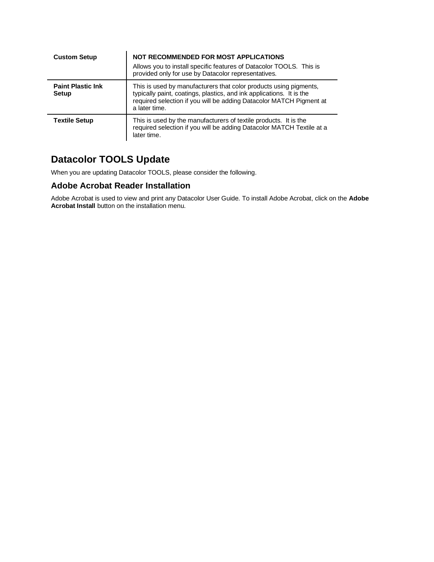| <b>Custom Setup</b>               | <b>NOT RECOMMENDED FOR MOST APPLICATIONS</b><br>Allows you to install specific features of Datacolor TOOLS. This is<br>provided only for use by Datacolor representatives.                                                        |
|-----------------------------------|-----------------------------------------------------------------------------------------------------------------------------------------------------------------------------------------------------------------------------------|
| <b>Paint Plastic Ink</b><br>Setup | This is used by manufacturers that color products using pigments,<br>typically paint, coatings, plastics, and ink applications. It is the<br>required selection if you will be adding Datacolor MATCH Pigment at<br>a later time. |
| <b>Textile Setup</b>              | This is used by the manufacturers of textile products. It is the<br>required selection if you will be adding Datacolor MATCH Textile at a<br>later time.                                                                          |

## **Datacolor TOOLS Update**

When you are updating Datacolor TOOLS, please consider the following.

#### **Adobe Acrobat Reader Installation**

Adobe Acrobat is used to view and print any Datacolor User Guide. To install Adobe Acrobat, click on the **Adobe Acrobat Install** button on the installation menu.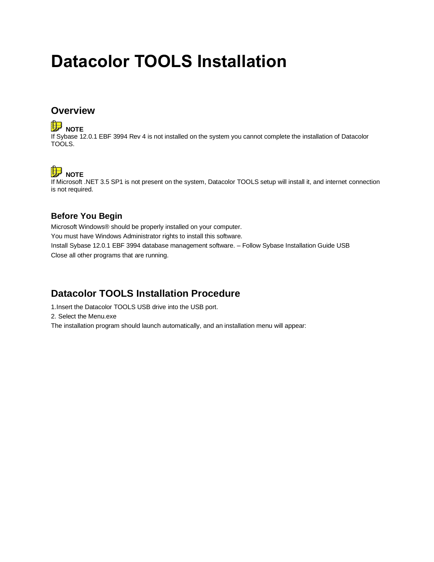# **Datacolor TOOLS Installation**

### **Overview**

## **NOTE**

If Sybase 12.0.1 EBF 3994 Rev 4 is not installed on the system you cannot complete the installation of Datacolor TOOLS.

## **NOTE**

If Microsoft .NET 3.5 SP1 is not present on the system, Datacolor TOOLS setup will install it, and internet connection is not required.

#### **Before You Begin**

Microsoft Windows® should be properly installed on your computer. You must have Windows Administrator rights to install this software. Install Sybase 12.0.1 EBF 3994 database management software. – Follow Sybase Installation Guide USB Close all other programs that are running.

### **Datacolor TOOLS Installation Procedure**

1.Insert the Datacolor TOOLS USB drive into the USB port.

2. Select the Menu.exe

The installation program should launch automatically, and an installation menu will appear: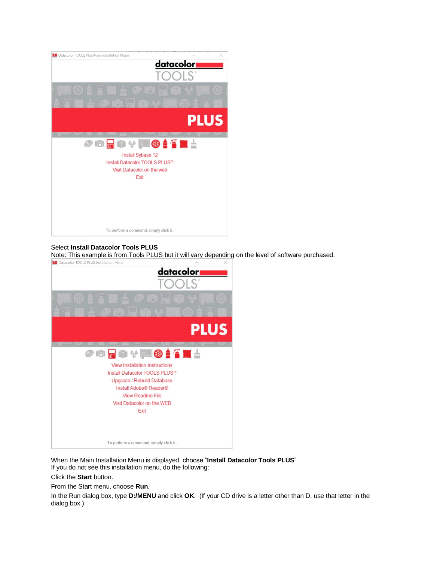

#### Select **Install Datacolor Tools PLUS**

Note: This example is from Tools PLUS but it will vary depending on the level of software purchased.



When the Main Installation Menu is displayed, choose "**Install Datacolor Tools PLUS**" If you do not see this installation menu, do the following:

Click the **Start** button.

From the Start menu, choose **Run**.

In the Run dialog box, type **D:/MENU** and click **OK**. (If your CD drive is a letter other than D, use that letter in the dialog box.)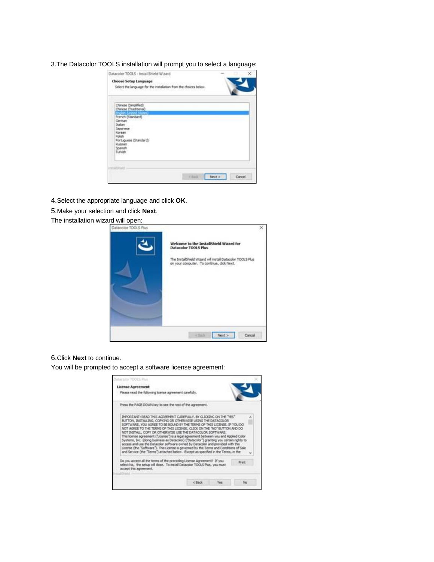3.The Datacolor TOOLS installation will prompt you to select a language:

| Datacolor TOOLS - InstallShield Wizard                           |
|------------------------------------------------------------------|
|                                                                  |
| Select the language for the installation from the choices below. |
|                                                                  |
|                                                                  |
|                                                                  |
| Cancel                                                           |
| <b>Chux</b><br>Next >                                            |

4.Select the appropriate language and click **OK**.

5.Make your selection and click **Next**.

The installation wizard will open:

| Datacolor TOOLS Plus | Welcome to the InstallShield Wizard for<br><b>Datacolor TOOLS Plus</b><br>The InstallShield Wizard will install Datacolor TOOLS Plus<br>on your computer. To continue, click Next. |  |
|----------------------|------------------------------------------------------------------------------------------------------------------------------------------------------------------------------------|--|
|                      |                                                                                                                                                                                    |  |
|                      | Cancel<br>4.3283<br>Next >                                                                                                                                                         |  |

6.Click **Next** to continue.

You will be prompted to accept a software license agreement:

| <b>License Agreement</b>                                                                                                                                                                                                                                                                                                                                                                                                                                                                                                                                                                      |  |        |
|-----------------------------------------------------------------------------------------------------------------------------------------------------------------------------------------------------------------------------------------------------------------------------------------------------------------------------------------------------------------------------------------------------------------------------------------------------------------------------------------------------------------------------------------------------------------------------------------------|--|--------|
| Please read the following koense agreement carefully                                                                                                                                                                                                                                                                                                                                                                                                                                                                                                                                          |  |        |
| Press the PAGE DOWN key to see the rest of the agreement.                                                                                                                                                                                                                                                                                                                                                                                                                                                                                                                                     |  |        |
| IMPORTANT: READ THIS AGREEMENT CAREFULLY, BY CLICKING ON THE "YES"<br>BUTTON, INSTALLING, COPYING OR OTHERWISE USING THE DATACOLOR.<br>SOFTWARE, YOU AGREE TO BE BOUND BY THE TERMS OF THIS LICENSE. IF YOU DO                                                                                                                                                                                                                                                                                                                                                                                |  |        |
| NOT AGREE TO THE TERMS OF THIS LICENSE, CLICK ON THE "NO" BUTTON AND DO<br>NOT INSTALL, COPY OR OTHERWISE USE THE DATACOLOR SOFTWARE.<br>This license agreement ("License") is a legal agreement between you and Applied Color<br>Systems, Inc. (doing business as Datacolor) ("Datacolor") granting you certain rights to<br>access and use the Datacolor software owned by Datacolor and provided with this<br>License (the "Software"). This License is governed by the Terms and Conditions of Sale<br>and Service (the "Terms") attached below. Except as specified in the Terms, in the |  |        |
| Do you accept all the terms of the preceding License Agreement? If you<br>select No. the setup will dose. To install Datacolor TOOLS Plus, you must.<br>accept this agreement.                                                                                                                                                                                                                                                                                                                                                                                                                |  | Print. |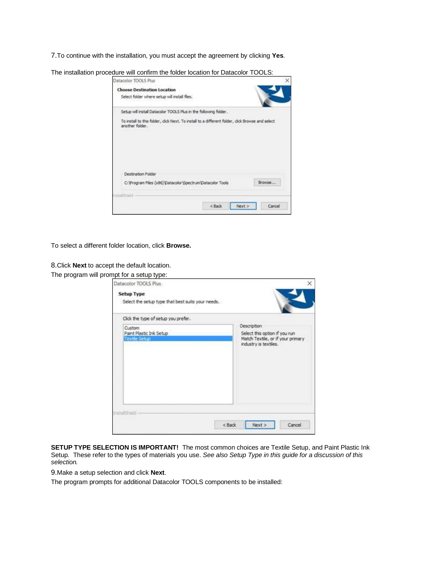7.To continue with the installation, you must accept the agreement by clicking **Yes**.

| Datacolor TOOLS Plus                                                                                                |  |
|---------------------------------------------------------------------------------------------------------------------|--|
| <b>Choose Destination Location</b>                                                                                  |  |
| Select folder where setup will install files.                                                                       |  |
| Setup will install Datacolor TOOLS Plus in the following folder.                                                    |  |
|                                                                                                                     |  |
| To install to this folder, click Next. To install to a different folder, click Browse and select<br>another folder. |  |
|                                                                                                                     |  |
| Destination Folder                                                                                                  |  |

The insta

To select a different folder location, click **Browse.**

8.Click **Next** to accept the default location.

The program will prompt for a setup type:

| Datacolor TOOLS Plus<br><b>Setup Type</b><br>Select the setup type that best suits your needs. | ×                                                                                                          |
|------------------------------------------------------------------------------------------------|------------------------------------------------------------------------------------------------------------|
| Click the type of setup you prefer.                                                            |                                                                                                            |
| Custom<br>Paint Plastic Ink Setup<br><b>Textle Setup</b>                                       | Description<br>Select this option if you run<br>Match Textile, or if your primary<br>industry is textiles. |
| InstallShield<br>$<$ Back                                                                      | Cancel<br>Next >                                                                                           |

 $<sub>8</sub>$  excess  $<sub>6</sub>$ </sub></sub>

 $Next$ 

Cancel

**SETUP TYPE SELECTION IS IMPORTANT!** The most common choices are Textile Setup, and Paint Plastic Ink Setup. These refer to the types of materials you use. *See also Setup Type in this guide for a discussion of this selection.*

9.Make a setup selection and click **Next**.

The program prompts for additional Datacolor TOOLS components to be installed: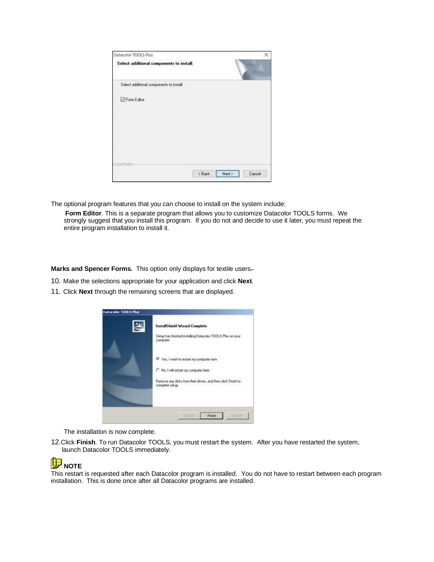| Datacolor TOOLS Plus                     |        |        |        |
|------------------------------------------|--------|--------|--------|
| Select additional components to install: |        |        |        |
| Select additional components to instalt  |        |        |        |
| Form Editor                              |        |        |        |
|                                          |        |        |        |
|                                          |        |        |        |
| districts                                |        |        |        |
|                                          | c Back | Next 5 | Cancel |

The optional program features that you can choose to install on the system include:

 **Form Editor**. This is a separate program that allows you to customize Datacolor TOOLS forms. We strongly suggest that you install this program. If you do not and decide to use it later, you must repeat the entire program installation to install it.

**Marks and Spencer Forms.** This option only displays for textile users-

- 10. Make the selections appropriate for your application and click **Next**.
- 11. Click **Next** through the remaining screens that are displayed.



The installation is now complete.

12.Click **Finish**. To run Datacolor TOOLS, you must restart the system. After you have restarted the system, launch Datacolor TOOLS immediately.



This restart is requested after each Datacolor program is installed. You do not have to restart between each program installation. This is done once after all Datacolor programs are installed.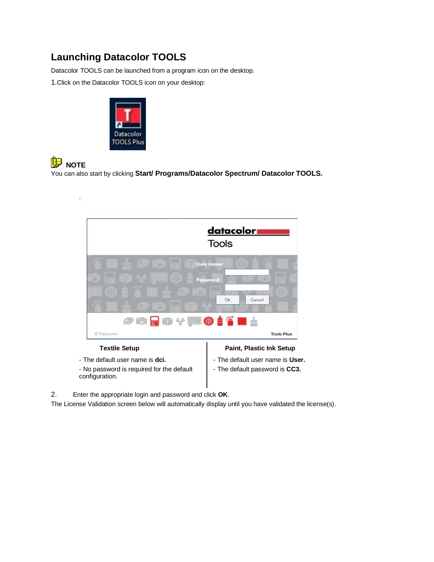## **Launching Datacolor TOOLS**

Datacolor TOOLS can be launched from a program icon on the desktop.

1.Click on the Datacolor TOOLS icon on your desktop:



#### 伊 **NOTE**

You can also start by clicking **Start/ Programs/Datacolor Spectrum/ Datacolor TOOLS.**



- No password is required for the default configuration.

- The default user name is **User.**

- The default password is **CC3.**

2. Enter the appropriate login and password and click **OK**.

The License Validation screen below will automatically display until you have validated the license(s).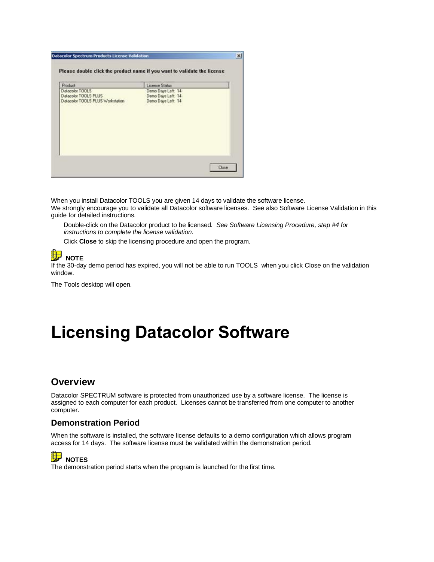| Demo Days Left 14                       |                                         |
|-----------------------------------------|-----------------------------------------|
|                                         | Datacolor TOOLS<br>Datacolor TOOLS PLUS |
| Demo Days Left 14<br>Demo Days Left: 14 | Datacolor TOOLS PLUS Workstation        |
|                                         |                                         |
|                                         |                                         |
|                                         |                                         |
|                                         |                                         |
|                                         |                                         |
|                                         |                                         |

When you install Datacolor TOOLS you are given 14 days to validate the software license.

We strongly encourage you to validate all Datacolor software licenses. See also Software License Validation in this guide for detailed instructions.

 Double-click on the Datacolor product to be licensed. *See Software Licensing Procedure, step #4 for instructions to complete the license validation.*

Click **Close** to skip the licensing procedure and open the program.

## **NOTE**

If the 30-day demo period has expired, you will not be able to run TOOLS when you click Close on the validation window.

The Tools desktop will open.

## **Licensing Datacolor Software**

#### **Overview**

Datacolor SPECTRUM software is protected from unauthorized use by a software license. The license is assigned to each computer for each product. Licenses cannot be transferred from one computer to another computer.

#### **Demonstration Period**

When the software is installed, the software license defaults to a demo configuration which allows program access for 14 days. The software license must be validated within the demonstration period.

## **NOTES**

The demonstration period starts when the program is launched for the first time.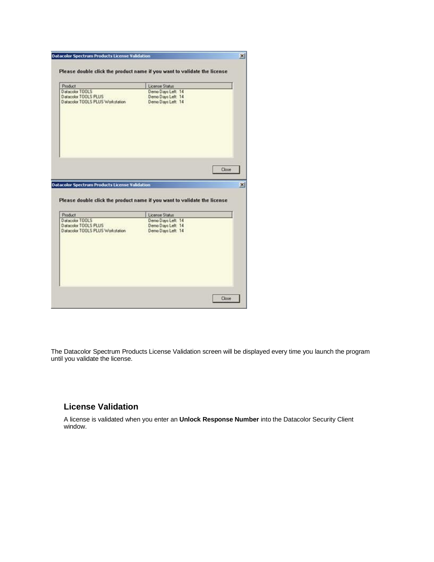| Product                                                                                                                                         | License Status                                                                   |       |
|-------------------------------------------------------------------------------------------------------------------------------------------------|----------------------------------------------------------------------------------|-------|
| Datacolor TOOLS<br>Datacolor TOOLS PLUS<br>Datacolor TOOLS PLUS Workstation                                                                     | Demo Days Left. 14<br>Demo Days Left: 14<br>Demo Days Left: 14                   |       |
|                                                                                                                                                 |                                                                                  |       |
|                                                                                                                                                 |                                                                                  | Close |
|                                                                                                                                                 | Please double click the product name if you want to validate the license         |       |
| <b>Datacolor Spectrum Products License Validation</b><br>Product<br>Datacolor TOOLS<br>Datacolor TOOLS PLUS<br>Datacolor TOOLS PLUS Workstation | License Status<br>Demo Days Left. 14<br>Demo Days Left: 14<br>Demo Days Left: 14 |       |

The Datacolor Spectrum Products License Validation screen will be displayed every time you launch the program until you validate the license.

#### **License Validation**

A license is validated when you enter an **Unlock Response Number** into the Datacolor Security Client window.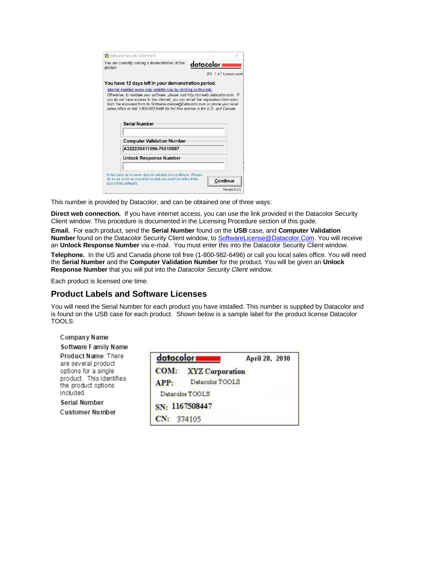|          | You are currently running a demonstration of this                                                        |             |                           |  |
|----------|----------------------------------------------------------------------------------------------------------|-------------|---------------------------|--|
| product. |                                                                                                          | datacolor i |                           |  |
|          |                                                                                                          |             | 313: 1 of 1 Licenses used |  |
|          | You have 12 days left in your demonstration period.                                                      |             |                           |  |
|          | Internet enabled users may validate now by clicking on this link.                                        |             |                           |  |
|          |                                                                                                          |             |                           |  |
|          | sales office or dial 1-800-982-6496 for toll free service in the U.S. and Canada<br><b>Serial Number</b> |             |                           |  |
|          | <b>Computer Validation Number</b>                                                                        |             |                           |  |
|          | A322239411096-76610057                                                                                   |             |                           |  |
|          | <b>Unlock Response Number</b>                                                                            |             |                           |  |

This number is provided by Datacolor, and can be obtained one of three ways:

**Direct web connection.** If you have internet access, you can use the link provided in the Datacolor Security Client window. This procedure is documented in the Licensing Procedure section of this guide.

**Email.** For each product, send the **Serial Number** found on the **USB** case, and **Computer Validation Number** found on the Datacolor Security Client window, to [SoftwareLicense@Datacolor.Com.](mailto:SoftwareLicense@Datacolor.Com) You will receive an **Unlock Response Number** via e-mail. You must enter this into the Datacolor Security Client window.

**Telephone.** In the US and Canada phone toll free (1-800-982-6496) or call you local sales office. You will need the **Serial Number** and the **Computer Validation Number** for the product. You will be given an **Unlock Response Number** that you will put into the *Datacolor Security Client* window.

Each product is licensed one time.

#### **Product Labels and Software Licenses**

You will need the Serial Number for each product you have installed. This number is supplied by Datacolor and is found on the USB case for each product. Shown below is a sample label for the product license Datacolor TOOLS:

### Company Name

Software Family Name

Product Name: There are several product options for a single product. This identifies the product options included.

Serial Number **Customer Number** 

| datacolor  | April 28, 2010              |
|------------|-----------------------------|
|            | <b>COM:</b> XYZ Corporation |
| APP:       | Datacolor TOOLS             |
|            | Datacolor TOOLS             |
|            | SN: 1167508447              |
| CN: 374105 |                             |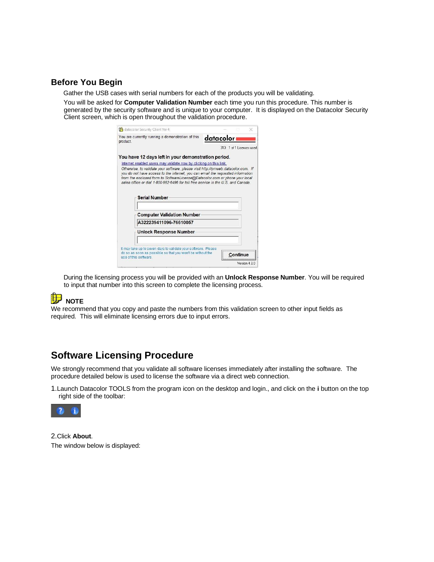#### **Before You Begin**

Gather the USB cases with serial numbers for each of the products you will be validating.

 You will be asked for **Computer Validation Number** each time you run this procedure. This number is generated by the security software and is unique to your computer. It is displayed on the Datacolor Security Client screen, which is open throughout the validation procedure.

|                      | datacolor Security Client Ver 4                                                                                                                                 |           |  |                          |
|----------------------|-----------------------------------------------------------------------------------------------------------------------------------------------------------------|-----------|--|--------------------------|
| product.             | You are currently running a demonstration of this                                                                                                               | datacolor |  |                          |
|                      |                                                                                                                                                                 |           |  | 313 1 of 1 Licenses used |
|                      | You have 12 days left in your demonstration period.                                                                                                             |           |  |                          |
|                      | Internet enabled users may validate now by clicking on this link.                                                                                               |           |  |                          |
|                      | from the enclosed form to SoftwareLicense@Datacolor.com or phone your local<br>sales office or dial 1-800-982-6496 for toll free service in the U.S. and Canada |           |  |                          |
|                      | <b>Serial Number</b>                                                                                                                                            |           |  |                          |
|                      | <b>Computer Validation Number</b>                                                                                                                               |           |  |                          |
|                      | A322239411096-76610057                                                                                                                                          |           |  |                          |
|                      | <b>Unlock Response Number</b>                                                                                                                                   |           |  |                          |
|                      | It may take up to seven days to validate your software. Please                                                                                                  |           |  |                          |
| use of this software | do so as soon as possible so that you won't be without the                                                                                                      |           |  |                          |

 During the licensing process you will be provided with an **Unlock Response Number**. You will be required to input that number into this screen to complete the licensing process.

## **NOTE**

We recommend that you copy and paste the numbers from this validation screen to other input fields as required. This will eliminate licensing errors due to input errors.

### **Software Licensing Procedure**

We strongly recommend that you validate all software licenses immediately after installing the software. The procedure detailed below is used to license the software via a direct web connection.

1.Launch Datacolor TOOLS from the program icon on the desktop and login., and click on the **i** button on the top right side of the toolbar:



2.Click **About**. The window below is displayed: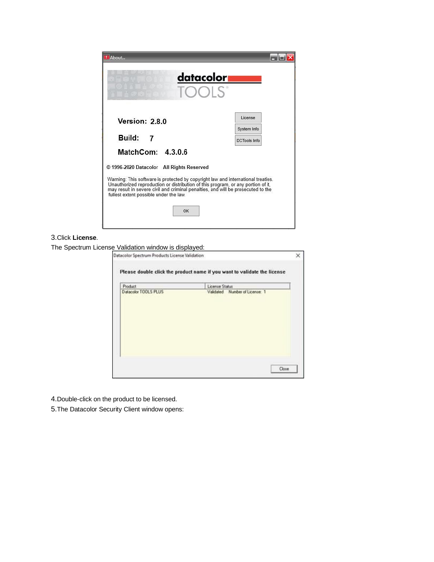| datacolor <b>.</b><br><b>TOOLS</b>                                                                                                                                                                                                                                                                                                                                         |                     |
|----------------------------------------------------------------------------------------------------------------------------------------------------------------------------------------------------------------------------------------------------------------------------------------------------------------------------------------------------------------------------|---------------------|
| Version: 2.8.0                                                                                                                                                                                                                                                                                                                                                             | License             |
|                                                                                                                                                                                                                                                                                                                                                                            | System Info         |
| Build: 7                                                                                                                                                                                                                                                                                                                                                                   | <b>DCTools Info</b> |
| MatchCom: 4.3.0.6<br>© 1996-2020 Datacolor All Rights Reserved<br>Warning: This software is protected by copyright law and international treaties.<br>Unauthorized reproduction or distribution of this program, or any portion of it,<br>may result in severe civil and criminal penalties, and will be prosecuted to the<br>fullest extent possible under the law.<br>OK |                     |

#### 3.Click **License**.

The Spectrum License Validation window is displayed:

|                      | Please double click the product name if you want to validate the license |  |
|----------------------|--------------------------------------------------------------------------|--|
| <b>Product</b>       | License Status                                                           |  |
| Datacolor TOOLS PLUS | Validated Number of License: 1                                           |  |
|                      |                                                                          |  |
|                      |                                                                          |  |
|                      |                                                                          |  |
|                      |                                                                          |  |
|                      |                                                                          |  |
|                      |                                                                          |  |

4.Double-click on the product to be licensed.

5.The Datacolor Security Client window opens: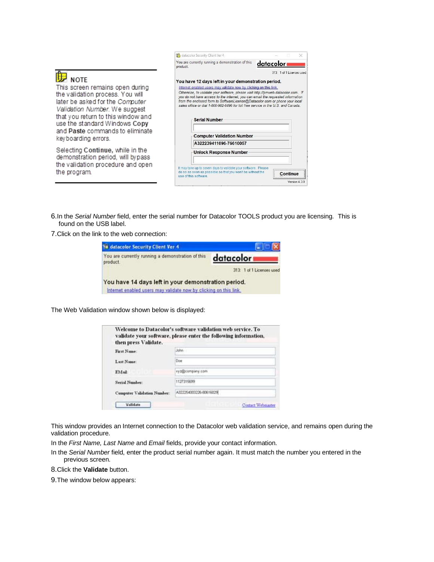|--|--|

This screen remains open during the validation process. You will later be asked for the Computer Validation Number. We suggest that you return to this window and use the standard Windows Copy and Paste commands to eliminate keyboarding errors.

Selecting Continue, while in the demonstration period, will bypass the validation procedure and open the program.

| You are currently running a demonstration of this | datacolor i                                                                                                                                                                                                                                                                                                                                                                                                                                                                                                                                                |
|---------------------------------------------------|------------------------------------------------------------------------------------------------------------------------------------------------------------------------------------------------------------------------------------------------------------------------------------------------------------------------------------------------------------------------------------------------------------------------------------------------------------------------------------------------------------------------------------------------------------|
|                                                   |                                                                                                                                                                                                                                                                                                                                                                                                                                                                                                                                                            |
|                                                   | 313: 1 of 1 Licenses used                                                                                                                                                                                                                                                                                                                                                                                                                                                                                                                                  |
|                                                   |                                                                                                                                                                                                                                                                                                                                                                                                                                                                                                                                                            |
|                                                   |                                                                                                                                                                                                                                                                                                                                                                                                                                                                                                                                                            |
|                                                   |                                                                                                                                                                                                                                                                                                                                                                                                                                                                                                                                                            |
|                                                   |                                                                                                                                                                                                                                                                                                                                                                                                                                                                                                                                                            |
|                                                   |                                                                                                                                                                                                                                                                                                                                                                                                                                                                                                                                                            |
| Unlock Response Number                            |                                                                                                                                                                                                                                                                                                                                                                                                                                                                                                                                                            |
|                                                   |                                                                                                                                                                                                                                                                                                                                                                                                                                                                                                                                                            |
|                                                   | You have 12 days left in your demonstration period.<br>Internet enabled users may validate now by clicking on this link.<br>Otherwise, to validate your software, please visit http://pmweb.datacolor.com. If<br>you do not have access to the internet, you can email the requested information<br>from the enclosed form to SoftwareLicense@Datacolor.com or phone your local<br>sales office or dial 1-800-982-6496 for toll free service in the U.S. and Canada<br><b>Serial Number</b><br><b>Computer Validation Number</b><br>A322239411096-76610057 |

6.In the *Serial Number* field, enter the serial number for Datacolor TOOLS product you are licensing. This is found on the USB label.

7.Click on the link to the web connection:

| Ya datacolor Security Client Ver 4                                                                                       |                           |
|--------------------------------------------------------------------------------------------------------------------------|---------------------------|
| You are currently running a demonstration of this<br>product.                                                            | datacolor                 |
|                                                                                                                          | 313: 1 of 1 Licenses used |
| You have 14 days left in your demonstration period.<br>Internet enabled users may validate now by clicking on this link. |                           |

The Web Validation window shown below is displayed:

| then press Validate.        | validate your software, please enter the following information, |
|-----------------------------|-----------------------------------------------------------------|
| First Name:                 |                                                                 |
| Last Name:                  | Doe:                                                            |
| <b>FMail:</b>               | syzepcompany.com                                                |
| <b>Serial Number:</b>       | 1127315699                                                      |
| Computer Validation Number: | A322254003226-80616029                                          |

This window provides an Internet connection to the Datacolor web validation service, and remains open during the validation procedure.

In the *First Name, Last Name* and *Email* fields, provide your contact information.

In the *Serial Number* field, enter the product serial number again. It must match the number you entered in the previous screen.

8.Click the **Validate** button.

9.The window below appears: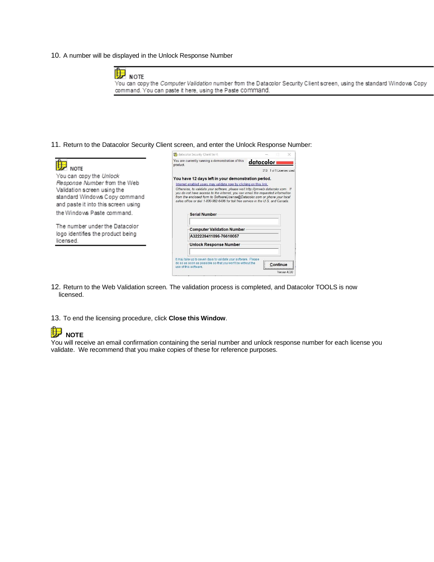10. A number will be displayed in the Unlock Response Number



You can copy the Computer Validation number from the Datacolor Security Client screen, using the standard Windows Copy command. You can paste it here, using the Paste command.

11. Return to the Datacolor Security Client screen, and enter the Unlock Response Number:



- 12. Return to the Web Validation screen. The validation process is completed, and Datacolor TOOLS is now licensed.
- 13. To end the licensing procedure, click **Close this Window**.

#### Н **NOTE**

You will receive an email confirmation containing the serial number and unlock response number for each license you validate. We recommend that you make copies of these for reference purposes.